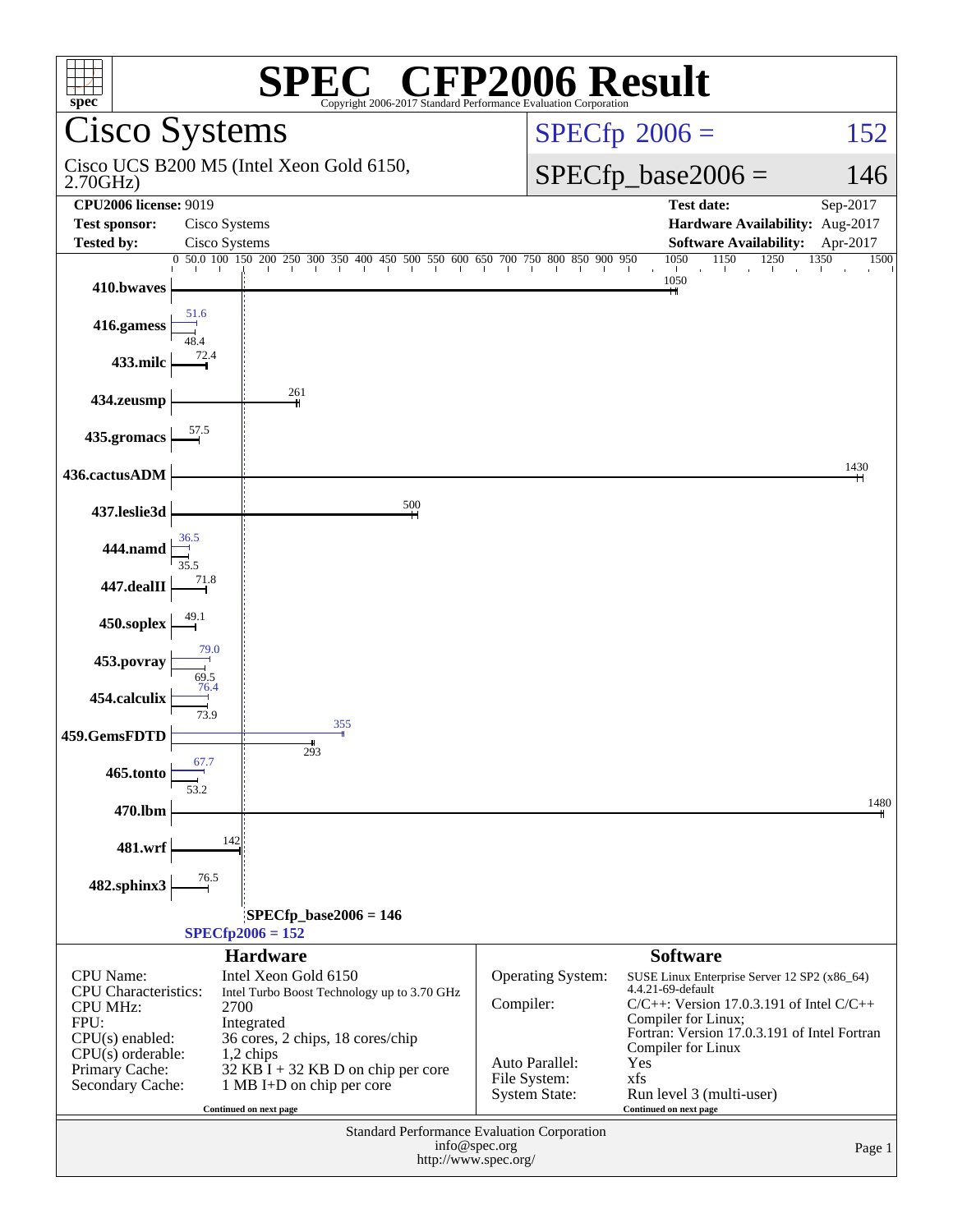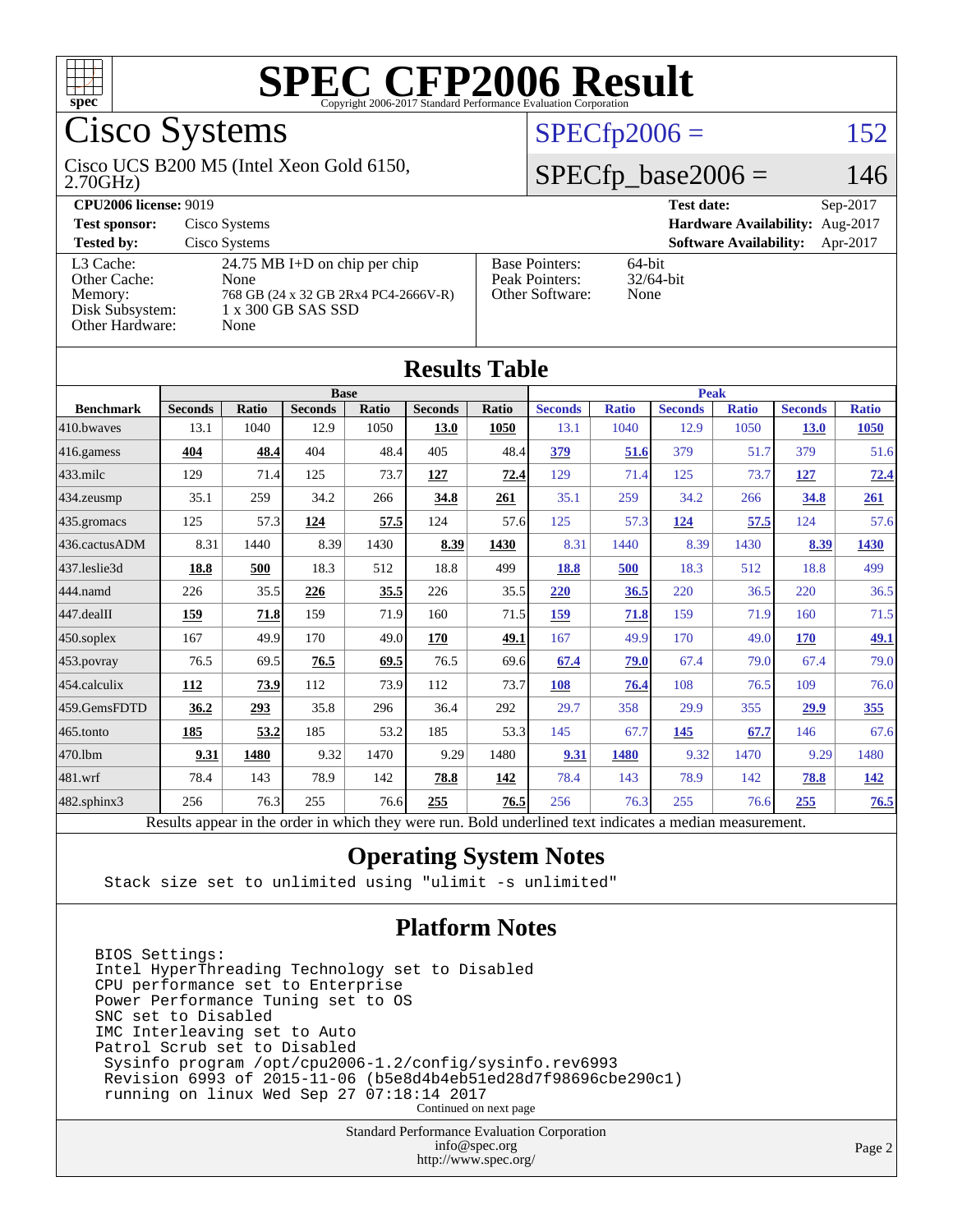

# Cisco Systems

#### 2.70GHz) Cisco UCS B200 M5 (Intel Xeon Gold 6150,

## $SPECfp2006 = 152$  $SPECfp2006 = 152$

### $SPECfp\_base2006 = 146$

| <b>CPU2006 license: 9019</b>                                               |                                                                                                             |                                                            | <b>Test date:</b><br>$Sep-2017$           |  |  |  |
|----------------------------------------------------------------------------|-------------------------------------------------------------------------------------------------------------|------------------------------------------------------------|-------------------------------------------|--|--|--|
| <b>Test sponsor:</b>                                                       | Cisco Systems                                                                                               | Hardware Availability: Aug-2017                            |                                           |  |  |  |
| <b>Tested by:</b>                                                          | Cisco Systems                                                                                               |                                                            | <b>Software Availability:</b><br>Apr-2017 |  |  |  |
| L3 Cache:<br>Other Cache:<br>Memory:<br>Disk Subsystem:<br>Other Hardware: | 24.75 MB I+D on chip per chip<br>None<br>768 GB (24 x 32 GB 2Rx4 PC4-2666V-R)<br>1 x 300 GB SAS SSD<br>None | <b>Base Pointers:</b><br>Peak Pointers:<br>Other Software: | $64$ -bit<br>$32/64$ -bit<br>None         |  |  |  |

**[Results Table](http://www.spec.org/auto/cpu2006/Docs/result-fields.html#ResultsTable)**

| Results Tadie     |                |       |                |              |                |              |                                                                                                          |              |                |              |                |              |
|-------------------|----------------|-------|----------------|--------------|----------------|--------------|----------------------------------------------------------------------------------------------------------|--------------|----------------|--------------|----------------|--------------|
|                   | <b>Base</b>    |       |                |              |                | <b>Peak</b>  |                                                                                                          |              |                |              |                |              |
| <b>Benchmark</b>  | <b>Seconds</b> | Ratio | <b>Seconds</b> | <b>Ratio</b> | <b>Seconds</b> | <b>Ratio</b> | <b>Seconds</b>                                                                                           | <b>Ratio</b> | <b>Seconds</b> | <b>Ratio</b> | <b>Seconds</b> | <b>Ratio</b> |
| 410.bwaves        | 13.1           | 1040  | 12.9           | 1050         | 13.0           | 1050         | 13.1                                                                                                     | 1040         | 12.9           | 1050         | <b>13.0</b>    | 1050         |
| $416$ .gamess     | 404            | 48.4  | 404            | 48.4         | 405            | 48.4         | 379                                                                                                      | 51.6         | 379            | 51.7         | 379            | 51.6         |
| $433$ .milc       | 129            | 71.4  | 125            | 73.7         | 127            | 72.4         | 129                                                                                                      | 71.4         | 125            | 73.7         | 127            | 72.4         |
| 434.zeusmp        | 35.1           | 259   | 34.2           | 266          | 34.8           | 261          | 35.1                                                                                                     | 259          | 34.2           | 266          | 34.8           | 261          |
| 435.gromacs       | 125            | 57.3  | 124            | 57.5         | 124            | 57.6         | 125                                                                                                      | 57.3         | 124            | 57.5         | 124            | 57.6         |
| 436.cactusADM     | 8.31           | 1440  | 8.39           | 1430         | 8.39           | 1430         | 8.31                                                                                                     | 1440         | 8.39           | 1430         | 8.39           | 1430         |
| 437.leslie3d      | 18.8           | 500   | 18.3           | 512          | 18.8           | 499          | 18.8                                                                                                     | 500          | 18.3           | 512          | 18.8           | 499          |
| 444.namd          | 226            | 35.5  | 226            | 35.5         | 226            | 35.5         | 220                                                                                                      | 36.5         | 220            | 36.5         | 220            | 36.5         |
| 447.dealII        | 159            | 71.8  | 159            | 71.9         | 160            | 71.5         | 159                                                                                                      | 71.8         | 159            | 71.9         | 160            | 71.5         |
| $450$ .soplex     | 167            | 49.9  | 170            | 49.0         | 170            | 49.1         | 167                                                                                                      | 49.9         | 170            | 49.0         | 170            | 49.1         |
| 453.povray        | 76.5           | 69.5  | 76.5           | 69.5         | 76.5           | 69.6         | 67.4                                                                                                     | 79.0         | 67.4           | 79.0         | 67.4           | 79.0         |
| 454.calculix      | 112            | 73.9  | 112            | 73.9         | 112            | 73.7         | 108                                                                                                      | 76.4         | 108            | 76.5         | 109            | 76.0         |
| 459.GemsFDTD      | 36.2           | 293   | 35.8           | 296          | 36.4           | 292          | 29.7                                                                                                     | 358          | 29.9           | 355          | 29.9           | 355          |
| $465$ .tonto      | 185            | 53.2  | 185            | 53.2         | 185            | 53.3         | 145                                                                                                      | 67.7         | 145            | 67.7         | 146            | 67.6         |
| 470.1bm           | 9.31           | 1480  | 9.32           | 1470         | 9.29           | 1480         | 9.31                                                                                                     | 1480         | 9.32           | 1470         | 9.29           | 1480         |
| 481.wrf           | 78.4           | 143   | 78.9           | 142          | 78.8           | 142          | 78.4                                                                                                     | 143          | 78.9           | 142          | 78.8           | <u> 142</u>  |
| $482$ .sphinx $3$ | 256            | 76.3  | 255            | 76.6         | 255            | 76.5         | 256                                                                                                      | 76.3         | 255            | 76.6         | 255            | 76.5         |
|                   |                |       |                |              |                |              | Results appear in the order in which they were run. Bold underlined text indicates a median measurement. |              |                |              |                |              |

### **[Operating System Notes](http://www.spec.org/auto/cpu2006/Docs/result-fields.html#OperatingSystemNotes)**

Stack size set to unlimited using "ulimit -s unlimited"

### **[Platform Notes](http://www.spec.org/auto/cpu2006/Docs/result-fields.html#PlatformNotes)**

BIOS Settings: Intel HyperThreading Technology set to Disabled CPU performance set to Enterprise Power Performance Tuning set to OS SNC set to Disabled IMC Interleaving set to Auto Patrol Scrub set to Disabled Sysinfo program /opt/cpu2006-1.2/config/sysinfo.rev6993 Revision 6993 of 2015-11-06 (b5e8d4b4eb51ed28d7f98696cbe290c1) running on linux Wed Sep 27 07:18:14 2017 Continued on next page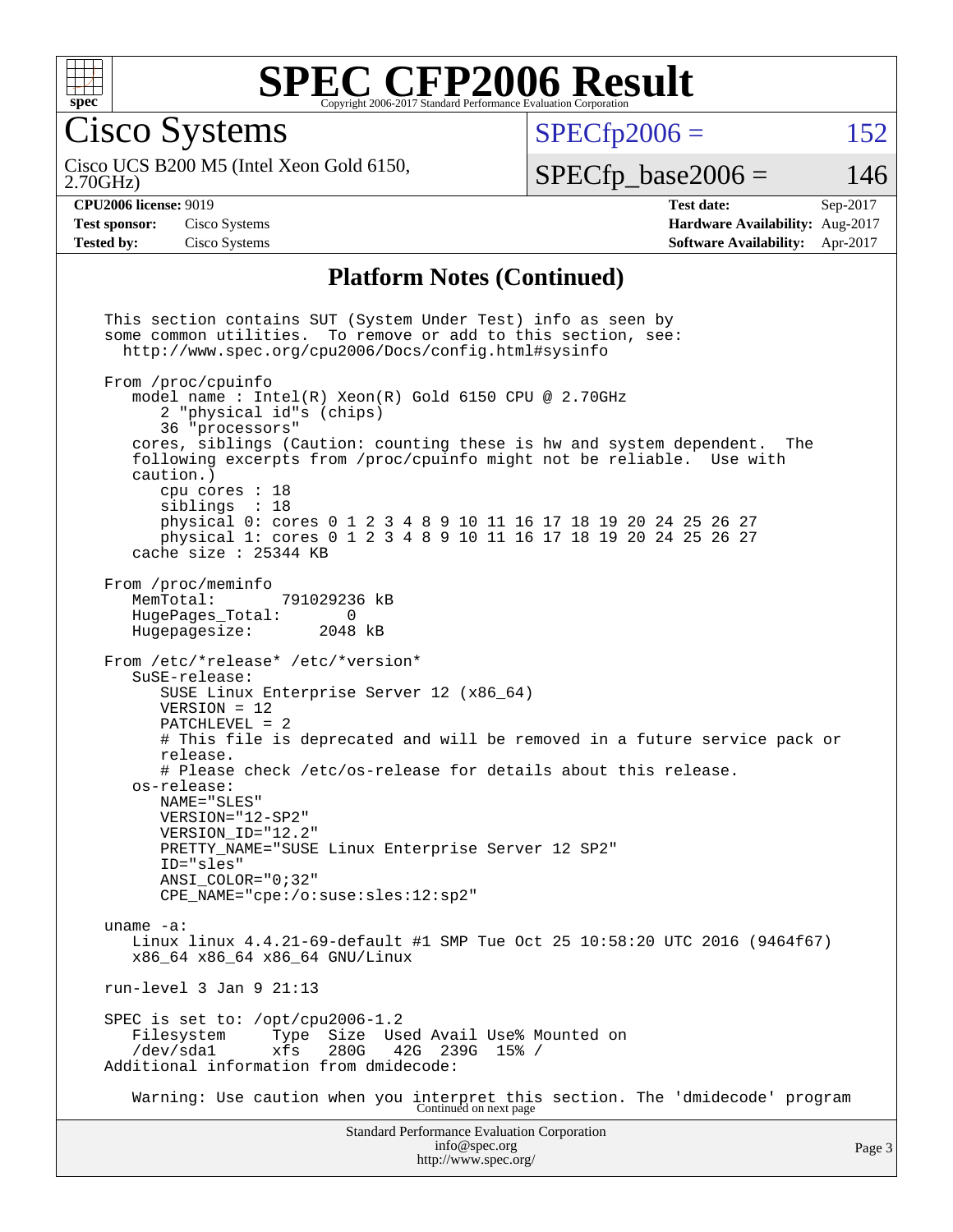

Cisco Systems

 $SPECTp2006 = 152$ 

2.70GHz) Cisco UCS B200 M5 (Intel Xeon Gold 6150,

 $SPECfp\_base2006 = 146$ 

**[Test sponsor:](http://www.spec.org/auto/cpu2006/Docs/result-fields.html#Testsponsor)** Cisco Systems **[Hardware Availability:](http://www.spec.org/auto/cpu2006/Docs/result-fields.html#HardwareAvailability)** Aug-2017

**[CPU2006 license:](http://www.spec.org/auto/cpu2006/Docs/result-fields.html#CPU2006license)** 9019 **[Test date:](http://www.spec.org/auto/cpu2006/Docs/result-fields.html#Testdate)** Sep-2017 **[Tested by:](http://www.spec.org/auto/cpu2006/Docs/result-fields.html#Testedby)** Cisco Systems **[Software Availability:](http://www.spec.org/auto/cpu2006/Docs/result-fields.html#SoftwareAvailability)** Apr-2017

### **[Platform Notes \(Continued\)](http://www.spec.org/auto/cpu2006/Docs/result-fields.html#PlatformNotes)**

Standard Performance Evaluation Corporation [info@spec.org](mailto:info@spec.org) This section contains SUT (System Under Test) info as seen by some common utilities. To remove or add to this section, see: <http://www.spec.org/cpu2006/Docs/config.html#sysinfo> From /proc/cpuinfo model name : Intel(R) Xeon(R) Gold 6150 CPU @ 2.70GHz 2 "physical id"s (chips) 36 "processors" cores, siblings (Caution: counting these is hw and system dependent. The following excerpts from /proc/cpuinfo might not be reliable. Use with caution.) cpu cores : 18 siblings : 18 physical 0: cores 0 1 2 3 4 8 9 10 11 16 17 18 19 20 24 25 26 27 physical 1: cores 0 1 2 3 4 8 9 10 11 16 17 18 19 20 24 25 26 27 cache size : 25344 KB From /proc/meminfo<br>MemTotal: 791029236 kB HugePages\_Total: 0 Hugepagesize: 2048 kB From /etc/\*release\* /etc/\*version\* SuSE-release: SUSE Linux Enterprise Server 12 (x86\_64) VERSION = 12 PATCHLEVEL = 2 # This file is deprecated and will be removed in a future service pack or release. # Please check /etc/os-release for details about this release. os-release: NAME="SLES" VERSION="12-SP2" VERSION\_ID="12.2" PRETTY\_NAME="SUSE Linux Enterprise Server 12 SP2" ID="sles" ANSI\_COLOR="0;32" CPE\_NAME="cpe:/o:suse:sles:12:sp2" uname -a: Linux linux 4.4.21-69-default #1 SMP Tue Oct 25 10:58:20 UTC 2016 (9464f67) x86\_64 x86\_64 x86\_64 GNU/Linux run-level 3 Jan 9 21:13 SPEC is set to: /opt/cpu2006-1.2 Filesystem Type Size Used Avail Use% Mounted on<br>/dev/sdal xfs 280G 42G 239G 15% / /dev/sda1 xfs 280G 42G 239G 15% / Additional information from dmidecode: Warning: Use caution when you interpret this section. The 'dmidecode' program Continued on next page

<http://www.spec.org/>

Page 3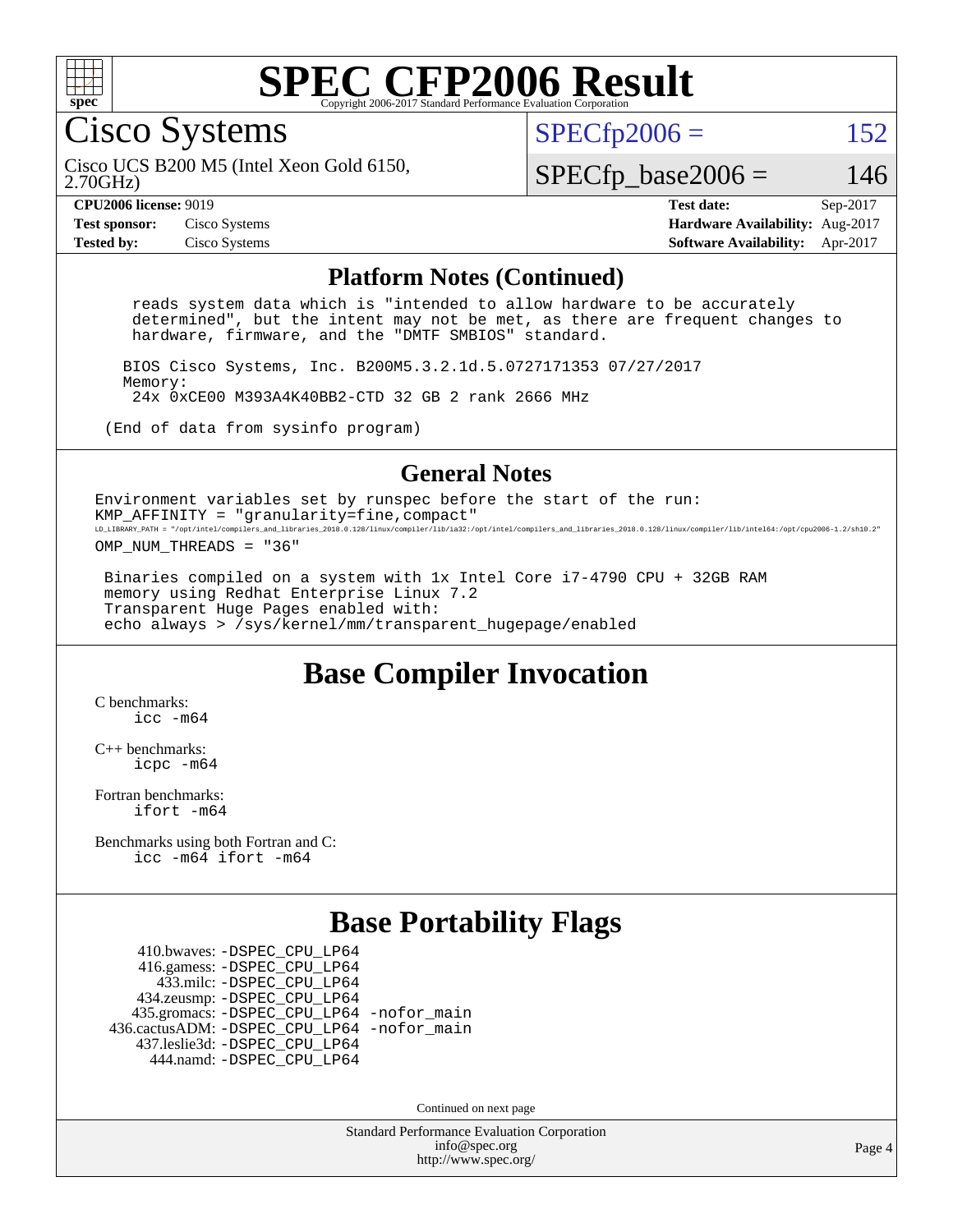

Cisco Systems

 $SPECTp2006 = 152$ 

2.70GHz) Cisco UCS B200 M5 (Intel Xeon Gold 6150,

 $SPECfp\_base2006 = 146$ 

**[CPU2006 license:](http://www.spec.org/auto/cpu2006/Docs/result-fields.html#CPU2006license)** 9019 **[Test date:](http://www.spec.org/auto/cpu2006/Docs/result-fields.html#Testdate)** Sep-2017 **[Test sponsor:](http://www.spec.org/auto/cpu2006/Docs/result-fields.html#Testsponsor)** Cisco Systems **[Hardware Availability:](http://www.spec.org/auto/cpu2006/Docs/result-fields.html#HardwareAvailability)** Aug-2017 **[Tested by:](http://www.spec.org/auto/cpu2006/Docs/result-fields.html#Testedby)** Cisco Systems **[Software Availability:](http://www.spec.org/auto/cpu2006/Docs/result-fields.html#SoftwareAvailability)** Apr-2017

#### **[Platform Notes \(Continued\)](http://www.spec.org/auto/cpu2006/Docs/result-fields.html#PlatformNotes)**

 reads system data which is "intended to allow hardware to be accurately determined", but the intent may not be met, as there are frequent changes to hardware, firmware, and the "DMTF SMBIOS" standard.

 BIOS Cisco Systems, Inc. B200M5.3.2.1d.5.0727171353 07/27/2017 Memory: 24x 0xCE00 M393A4K40BB2-CTD 32 GB 2 rank 2666 MHz

(End of data from sysinfo program)

#### **[General Notes](http://www.spec.org/auto/cpu2006/Docs/result-fields.html#GeneralNotes)**

Environment variables set by runspec before the start of the run: KMP AFFINITY = "granularity=fine, compact" LD\_LIBRARY\_PATH = "/opt/intel/compilers\_and\_libraries\_2018.0.128/linux/compiler/lib/ia32:/opt/intel/compilers\_and\_libraries\_2018.0.128/linux/compiler/lib/intel64:/opt/cpu2006-1.2/sh10.2"

OMP\_NUM\_THREADS = "36"

 Binaries compiled on a system with 1x Intel Core i7-4790 CPU + 32GB RAM memory using Redhat Enterprise Linux 7.2 Transparent Huge Pages enabled with: echo always > /sys/kernel/mm/transparent\_hugepage/enabled

## **[Base Compiler Invocation](http://www.spec.org/auto/cpu2006/Docs/result-fields.html#BaseCompilerInvocation)**

[C benchmarks](http://www.spec.org/auto/cpu2006/Docs/result-fields.html#Cbenchmarks): [icc -m64](http://www.spec.org/cpu2006/results/res2017q4/cpu2006-20171003-50270.flags.html#user_CCbase_intel_icc_64bit_bda6cc9af1fdbb0edc3795bac97ada53)

[C++ benchmarks:](http://www.spec.org/auto/cpu2006/Docs/result-fields.html#CXXbenchmarks) [icpc -m64](http://www.spec.org/cpu2006/results/res2017q4/cpu2006-20171003-50270.flags.html#user_CXXbase_intel_icpc_64bit_fc66a5337ce925472a5c54ad6a0de310)

[Fortran benchmarks](http://www.spec.org/auto/cpu2006/Docs/result-fields.html#Fortranbenchmarks): [ifort -m64](http://www.spec.org/cpu2006/results/res2017q4/cpu2006-20171003-50270.flags.html#user_FCbase_intel_ifort_64bit_ee9d0fb25645d0210d97eb0527dcc06e)

[Benchmarks using both Fortran and C](http://www.spec.org/auto/cpu2006/Docs/result-fields.html#BenchmarksusingbothFortranandC): [icc -m64](http://www.spec.org/cpu2006/results/res2017q4/cpu2006-20171003-50270.flags.html#user_CC_FCbase_intel_icc_64bit_bda6cc9af1fdbb0edc3795bac97ada53) [ifort -m64](http://www.spec.org/cpu2006/results/res2017q4/cpu2006-20171003-50270.flags.html#user_CC_FCbase_intel_ifort_64bit_ee9d0fb25645d0210d97eb0527dcc06e)

### **[Base Portability Flags](http://www.spec.org/auto/cpu2006/Docs/result-fields.html#BasePortabilityFlags)**

 410.bwaves: [-DSPEC\\_CPU\\_LP64](http://www.spec.org/cpu2006/results/res2017q4/cpu2006-20171003-50270.flags.html#suite_basePORTABILITY410_bwaves_DSPEC_CPU_LP64) 416.gamess: [-DSPEC\\_CPU\\_LP64](http://www.spec.org/cpu2006/results/res2017q4/cpu2006-20171003-50270.flags.html#suite_basePORTABILITY416_gamess_DSPEC_CPU_LP64) 433.milc: [-DSPEC\\_CPU\\_LP64](http://www.spec.org/cpu2006/results/res2017q4/cpu2006-20171003-50270.flags.html#suite_basePORTABILITY433_milc_DSPEC_CPU_LP64) 434.zeusmp: [-DSPEC\\_CPU\\_LP64](http://www.spec.org/cpu2006/results/res2017q4/cpu2006-20171003-50270.flags.html#suite_basePORTABILITY434_zeusmp_DSPEC_CPU_LP64) 435.gromacs: [-DSPEC\\_CPU\\_LP64](http://www.spec.org/cpu2006/results/res2017q4/cpu2006-20171003-50270.flags.html#suite_basePORTABILITY435_gromacs_DSPEC_CPU_LP64) [-nofor\\_main](http://www.spec.org/cpu2006/results/res2017q4/cpu2006-20171003-50270.flags.html#user_baseLDPORTABILITY435_gromacs_f-nofor_main) 436.cactusADM: [-DSPEC\\_CPU\\_LP64](http://www.spec.org/cpu2006/results/res2017q4/cpu2006-20171003-50270.flags.html#suite_basePORTABILITY436_cactusADM_DSPEC_CPU_LP64) [-nofor\\_main](http://www.spec.org/cpu2006/results/res2017q4/cpu2006-20171003-50270.flags.html#user_baseLDPORTABILITY436_cactusADM_f-nofor_main) 437.leslie3d: [-DSPEC\\_CPU\\_LP64](http://www.spec.org/cpu2006/results/res2017q4/cpu2006-20171003-50270.flags.html#suite_basePORTABILITY437_leslie3d_DSPEC_CPU_LP64) 444.namd: [-DSPEC\\_CPU\\_LP64](http://www.spec.org/cpu2006/results/res2017q4/cpu2006-20171003-50270.flags.html#suite_basePORTABILITY444_namd_DSPEC_CPU_LP64)

Continued on next page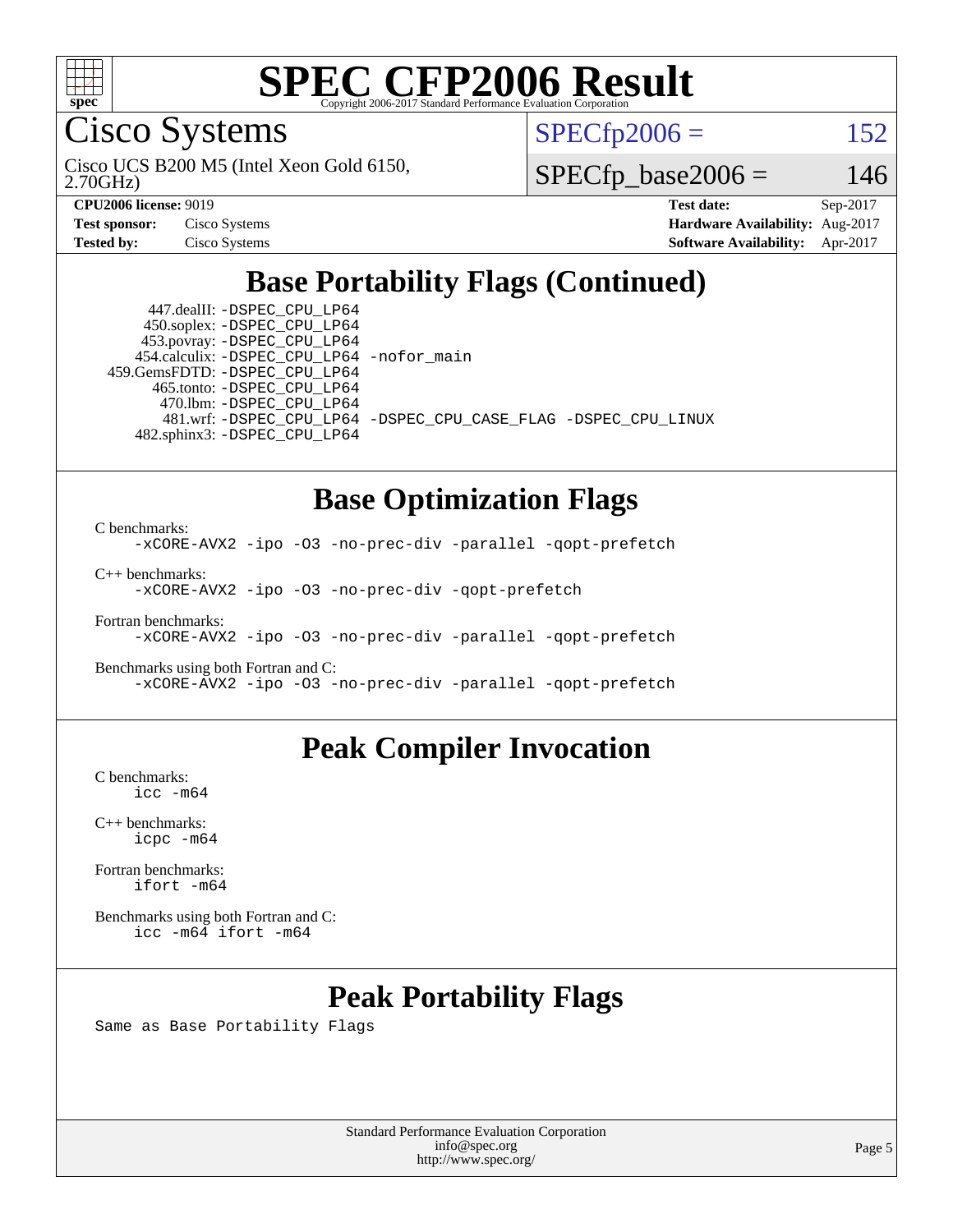

Cisco Systems

 $SPECTp2006 = 152$ 

2.70GHz) Cisco UCS B200 M5 (Intel Xeon Gold 6150,

 $SPECfp\_base2006 = 146$ 

| <b>Test sponsor:</b> | Cisco Systems |
|----------------------|---------------|
| <b>Tested by:</b>    | Cisco Systems |

**[CPU2006 license:](http://www.spec.org/auto/cpu2006/Docs/result-fields.html#CPU2006license)** 9019 **[Test date:](http://www.spec.org/auto/cpu2006/Docs/result-fields.html#Testdate)** Sep-2017 **[Hardware Availability:](http://www.spec.org/auto/cpu2006/Docs/result-fields.html#HardwareAvailability)** Aug-2017 **[Software Availability:](http://www.spec.org/auto/cpu2006/Docs/result-fields.html#SoftwareAvailability)** Apr-2017

# **[Base Portability Flags \(Continued\)](http://www.spec.org/auto/cpu2006/Docs/result-fields.html#BasePortabilityFlags)**

 447.dealII: [-DSPEC\\_CPU\\_LP64](http://www.spec.org/cpu2006/results/res2017q4/cpu2006-20171003-50270.flags.html#suite_basePORTABILITY447_dealII_DSPEC_CPU_LP64) 450.soplex: [-DSPEC\\_CPU\\_LP64](http://www.spec.org/cpu2006/results/res2017q4/cpu2006-20171003-50270.flags.html#suite_basePORTABILITY450_soplex_DSPEC_CPU_LP64) 453.povray: [-DSPEC\\_CPU\\_LP64](http://www.spec.org/cpu2006/results/res2017q4/cpu2006-20171003-50270.flags.html#suite_basePORTABILITY453_povray_DSPEC_CPU_LP64) 454.calculix: [-DSPEC\\_CPU\\_LP64](http://www.spec.org/cpu2006/results/res2017q4/cpu2006-20171003-50270.flags.html#suite_basePORTABILITY454_calculix_DSPEC_CPU_LP64) [-nofor\\_main](http://www.spec.org/cpu2006/results/res2017q4/cpu2006-20171003-50270.flags.html#user_baseLDPORTABILITY454_calculix_f-nofor_main) 459.GemsFDTD: [-DSPEC\\_CPU\\_LP64](http://www.spec.org/cpu2006/results/res2017q4/cpu2006-20171003-50270.flags.html#suite_basePORTABILITY459_GemsFDTD_DSPEC_CPU_LP64) 465.tonto: [-DSPEC\\_CPU\\_LP64](http://www.spec.org/cpu2006/results/res2017q4/cpu2006-20171003-50270.flags.html#suite_basePORTABILITY465_tonto_DSPEC_CPU_LP64) 470.lbm: [-DSPEC\\_CPU\\_LP64](http://www.spec.org/cpu2006/results/res2017q4/cpu2006-20171003-50270.flags.html#suite_basePORTABILITY470_lbm_DSPEC_CPU_LP64) 481.wrf: [-DSPEC\\_CPU\\_LP64](http://www.spec.org/cpu2006/results/res2017q4/cpu2006-20171003-50270.flags.html#suite_basePORTABILITY481_wrf_DSPEC_CPU_LP64) [-DSPEC\\_CPU\\_CASE\\_FLAG](http://www.spec.org/cpu2006/results/res2017q4/cpu2006-20171003-50270.flags.html#b481.wrf_baseCPORTABILITY_DSPEC_CPU_CASE_FLAG) [-DSPEC\\_CPU\\_LINUX](http://www.spec.org/cpu2006/results/res2017q4/cpu2006-20171003-50270.flags.html#b481.wrf_baseCPORTABILITY_DSPEC_CPU_LINUX) 482.sphinx3: [-DSPEC\\_CPU\\_LP64](http://www.spec.org/cpu2006/results/res2017q4/cpu2006-20171003-50270.flags.html#suite_basePORTABILITY482_sphinx3_DSPEC_CPU_LP64)

# **[Base Optimization Flags](http://www.spec.org/auto/cpu2006/Docs/result-fields.html#BaseOptimizationFlags)**

[C benchmarks](http://www.spec.org/auto/cpu2006/Docs/result-fields.html#Cbenchmarks):

[-xCORE-AVX2](http://www.spec.org/cpu2006/results/res2017q4/cpu2006-20171003-50270.flags.html#user_CCbase_f-xCORE-AVX2) [-ipo](http://www.spec.org/cpu2006/results/res2017q4/cpu2006-20171003-50270.flags.html#user_CCbase_f-ipo) [-O3](http://www.spec.org/cpu2006/results/res2017q4/cpu2006-20171003-50270.flags.html#user_CCbase_f-O3) [-no-prec-div](http://www.spec.org/cpu2006/results/res2017q4/cpu2006-20171003-50270.flags.html#user_CCbase_f-no-prec-div) [-parallel](http://www.spec.org/cpu2006/results/res2017q4/cpu2006-20171003-50270.flags.html#user_CCbase_f-parallel) [-qopt-prefetch](http://www.spec.org/cpu2006/results/res2017q4/cpu2006-20171003-50270.flags.html#user_CCbase_f-qopt-prefetch)

[C++ benchmarks:](http://www.spec.org/auto/cpu2006/Docs/result-fields.html#CXXbenchmarks) [-xCORE-AVX2](http://www.spec.org/cpu2006/results/res2017q4/cpu2006-20171003-50270.flags.html#user_CXXbase_f-xCORE-AVX2) [-ipo](http://www.spec.org/cpu2006/results/res2017q4/cpu2006-20171003-50270.flags.html#user_CXXbase_f-ipo) [-O3](http://www.spec.org/cpu2006/results/res2017q4/cpu2006-20171003-50270.flags.html#user_CXXbase_f-O3) [-no-prec-div](http://www.spec.org/cpu2006/results/res2017q4/cpu2006-20171003-50270.flags.html#user_CXXbase_f-no-prec-div) [-qopt-prefetch](http://www.spec.org/cpu2006/results/res2017q4/cpu2006-20171003-50270.flags.html#user_CXXbase_f-qopt-prefetch)

[Fortran benchmarks](http://www.spec.org/auto/cpu2006/Docs/result-fields.html#Fortranbenchmarks): [-xCORE-AVX2](http://www.spec.org/cpu2006/results/res2017q4/cpu2006-20171003-50270.flags.html#user_FCbase_f-xCORE-AVX2) [-ipo](http://www.spec.org/cpu2006/results/res2017q4/cpu2006-20171003-50270.flags.html#user_FCbase_f-ipo) [-O3](http://www.spec.org/cpu2006/results/res2017q4/cpu2006-20171003-50270.flags.html#user_FCbase_f-O3) [-no-prec-div](http://www.spec.org/cpu2006/results/res2017q4/cpu2006-20171003-50270.flags.html#user_FCbase_f-no-prec-div) [-parallel](http://www.spec.org/cpu2006/results/res2017q4/cpu2006-20171003-50270.flags.html#user_FCbase_f-parallel) [-qopt-prefetch](http://www.spec.org/cpu2006/results/res2017q4/cpu2006-20171003-50270.flags.html#user_FCbase_f-qopt-prefetch)

[Benchmarks using both Fortran and C](http://www.spec.org/auto/cpu2006/Docs/result-fields.html#BenchmarksusingbothFortranandC): [-xCORE-AVX2](http://www.spec.org/cpu2006/results/res2017q4/cpu2006-20171003-50270.flags.html#user_CC_FCbase_f-xCORE-AVX2) [-ipo](http://www.spec.org/cpu2006/results/res2017q4/cpu2006-20171003-50270.flags.html#user_CC_FCbase_f-ipo) [-O3](http://www.spec.org/cpu2006/results/res2017q4/cpu2006-20171003-50270.flags.html#user_CC_FCbase_f-O3) [-no-prec-div](http://www.spec.org/cpu2006/results/res2017q4/cpu2006-20171003-50270.flags.html#user_CC_FCbase_f-no-prec-div) [-parallel](http://www.spec.org/cpu2006/results/res2017q4/cpu2006-20171003-50270.flags.html#user_CC_FCbase_f-parallel) [-qopt-prefetch](http://www.spec.org/cpu2006/results/res2017q4/cpu2006-20171003-50270.flags.html#user_CC_FCbase_f-qopt-prefetch)

## **[Peak Compiler Invocation](http://www.spec.org/auto/cpu2006/Docs/result-fields.html#PeakCompilerInvocation)**

[C benchmarks](http://www.spec.org/auto/cpu2006/Docs/result-fields.html#Cbenchmarks): [icc -m64](http://www.spec.org/cpu2006/results/res2017q4/cpu2006-20171003-50270.flags.html#user_CCpeak_intel_icc_64bit_bda6cc9af1fdbb0edc3795bac97ada53)

[C++ benchmarks:](http://www.spec.org/auto/cpu2006/Docs/result-fields.html#CXXbenchmarks) [icpc -m64](http://www.spec.org/cpu2006/results/res2017q4/cpu2006-20171003-50270.flags.html#user_CXXpeak_intel_icpc_64bit_fc66a5337ce925472a5c54ad6a0de310)

[Fortran benchmarks](http://www.spec.org/auto/cpu2006/Docs/result-fields.html#Fortranbenchmarks): [ifort -m64](http://www.spec.org/cpu2006/results/res2017q4/cpu2006-20171003-50270.flags.html#user_FCpeak_intel_ifort_64bit_ee9d0fb25645d0210d97eb0527dcc06e)

[Benchmarks using both Fortran and C](http://www.spec.org/auto/cpu2006/Docs/result-fields.html#BenchmarksusingbothFortranandC): [icc -m64](http://www.spec.org/cpu2006/results/res2017q4/cpu2006-20171003-50270.flags.html#user_CC_FCpeak_intel_icc_64bit_bda6cc9af1fdbb0edc3795bac97ada53) [ifort -m64](http://www.spec.org/cpu2006/results/res2017q4/cpu2006-20171003-50270.flags.html#user_CC_FCpeak_intel_ifort_64bit_ee9d0fb25645d0210d97eb0527dcc06e)

# **[Peak Portability Flags](http://www.spec.org/auto/cpu2006/Docs/result-fields.html#PeakPortabilityFlags)**

Same as Base Portability Flags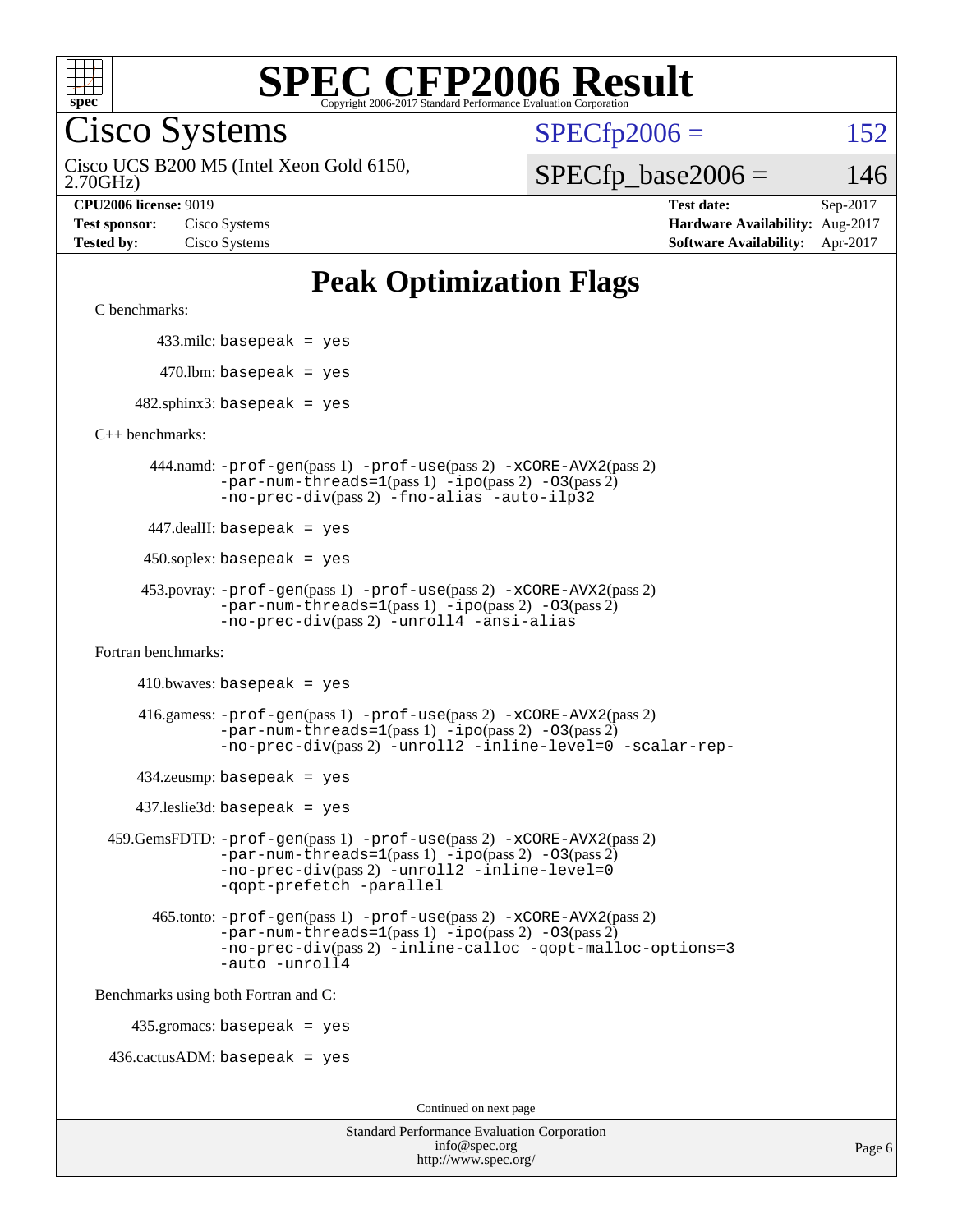

Cisco Systems

 $SPECTp2006 = 152$ 

2.70GHz) Cisco UCS B200 M5 (Intel Xeon Gold 6150,  $SPECfp\_base2006 = 146$ 

**[CPU2006 license:](http://www.spec.org/auto/cpu2006/Docs/result-fields.html#CPU2006license)** 9019 **[Test date:](http://www.spec.org/auto/cpu2006/Docs/result-fields.html#Testdate)** Sep-2017 **[Test sponsor:](http://www.spec.org/auto/cpu2006/Docs/result-fields.html#Testsponsor)** Cisco Systems **[Hardware Availability:](http://www.spec.org/auto/cpu2006/Docs/result-fields.html#HardwareAvailability)** Aug-2017

**[Tested by:](http://www.spec.org/auto/cpu2006/Docs/result-fields.html#Testedby)** Cisco Systems **[Software Availability:](http://www.spec.org/auto/cpu2006/Docs/result-fields.html#SoftwareAvailability)** Apr-2017

# **[Peak Optimization Flags](http://www.spec.org/auto/cpu2006/Docs/result-fields.html#PeakOptimizationFlags)**

[C benchmarks](http://www.spec.org/auto/cpu2006/Docs/result-fields.html#Cbenchmarks):

433.milc: basepeak = yes

 $470.$ lbm: basepeak = yes

 $482$ .sphinx3: basepeak = yes

[C++ benchmarks:](http://www.spec.org/auto/cpu2006/Docs/result-fields.html#CXXbenchmarks)

 444.namd: [-prof-gen](http://www.spec.org/cpu2006/results/res2017q4/cpu2006-20171003-50270.flags.html#user_peakPASS1_CXXFLAGSPASS1_LDFLAGS444_namd_prof_gen_e43856698f6ca7b7e442dfd80e94a8fc)(pass 1) [-prof-use](http://www.spec.org/cpu2006/results/res2017q4/cpu2006-20171003-50270.flags.html#user_peakPASS2_CXXFLAGSPASS2_LDFLAGS444_namd_prof_use_bccf7792157ff70d64e32fe3e1250b55)(pass 2) [-xCORE-AVX2](http://www.spec.org/cpu2006/results/res2017q4/cpu2006-20171003-50270.flags.html#user_peakPASS2_CXXFLAGSPASS2_LDFLAGS444_namd_f-xCORE-AVX2)(pass 2)  $-par-num-threads=1(pass 1) -ipo(pass 2) -O3(pass 2)$  $-par-num-threads=1(pass 1) -ipo(pass 2) -O3(pass 2)$  $-par-num-threads=1(pass 1) -ipo(pass 2) -O3(pass 2)$  $-par-num-threads=1(pass 1) -ipo(pass 2) -O3(pass 2)$  $-par-num-threads=1(pass 1) -ipo(pass 2) -O3(pass 2)$  $-par-num-threads=1(pass 1) -ipo(pass 2) -O3(pass 2)$ [-no-prec-div](http://www.spec.org/cpu2006/results/res2017q4/cpu2006-20171003-50270.flags.html#user_peakPASS2_CXXFLAGSPASS2_LDFLAGS444_namd_f-no-prec-div)(pass 2) [-fno-alias](http://www.spec.org/cpu2006/results/res2017q4/cpu2006-20171003-50270.flags.html#user_peakCXXOPTIMIZEOPTIMIZE444_namd_f-no-alias_694e77f6c5a51e658e82ccff53a9e63a) [-auto-ilp32](http://www.spec.org/cpu2006/results/res2017q4/cpu2006-20171003-50270.flags.html#user_peakCXXOPTIMIZE444_namd_f-auto-ilp32)

447.dealII: basepeak = yes

 $450$ .soplex: basepeak = yes

 453.povray: [-prof-gen](http://www.spec.org/cpu2006/results/res2017q4/cpu2006-20171003-50270.flags.html#user_peakPASS1_CXXFLAGSPASS1_LDFLAGS453_povray_prof_gen_e43856698f6ca7b7e442dfd80e94a8fc)(pass 1) [-prof-use](http://www.spec.org/cpu2006/results/res2017q4/cpu2006-20171003-50270.flags.html#user_peakPASS2_CXXFLAGSPASS2_LDFLAGS453_povray_prof_use_bccf7792157ff70d64e32fe3e1250b55)(pass 2) [-xCORE-AVX2](http://www.spec.org/cpu2006/results/res2017q4/cpu2006-20171003-50270.flags.html#user_peakPASS2_CXXFLAGSPASS2_LDFLAGS453_povray_f-xCORE-AVX2)(pass 2)  $-par-num-threads=1(pass 1) -ipo(pass 2) -O3(pass 2)$  $-par-num-threads=1(pass 1) -ipo(pass 2) -O3(pass 2)$  $-par-num-threads=1(pass 1) -ipo(pass 2) -O3(pass 2)$  $-par-num-threads=1(pass 1) -ipo(pass 2) -O3(pass 2)$  $-par-num-threads=1(pass 1) -ipo(pass 2) -O3(pass 2)$  $-par-num-threads=1(pass 1) -ipo(pass 2) -O3(pass 2)$ [-no-prec-div](http://www.spec.org/cpu2006/results/res2017q4/cpu2006-20171003-50270.flags.html#user_peakPASS2_CXXFLAGSPASS2_LDFLAGS453_povray_f-no-prec-div)(pass 2) [-unroll4](http://www.spec.org/cpu2006/results/res2017q4/cpu2006-20171003-50270.flags.html#user_peakCXXOPTIMIZE453_povray_f-unroll_4e5e4ed65b7fd20bdcd365bec371b81f) [-ansi-alias](http://www.spec.org/cpu2006/results/res2017q4/cpu2006-20171003-50270.flags.html#user_peakCXXOPTIMIZE453_povray_f-ansi-alias)

[Fortran benchmarks](http://www.spec.org/auto/cpu2006/Docs/result-fields.html#Fortranbenchmarks):

 $410.bwaves: basepeak = yes$ 

 416.gamess: [-prof-gen](http://www.spec.org/cpu2006/results/res2017q4/cpu2006-20171003-50270.flags.html#user_peakPASS1_FFLAGSPASS1_LDFLAGS416_gamess_prof_gen_e43856698f6ca7b7e442dfd80e94a8fc)(pass 1) [-prof-use](http://www.spec.org/cpu2006/results/res2017q4/cpu2006-20171003-50270.flags.html#user_peakPASS2_FFLAGSPASS2_LDFLAGS416_gamess_prof_use_bccf7792157ff70d64e32fe3e1250b55)(pass 2) [-xCORE-AVX2](http://www.spec.org/cpu2006/results/res2017q4/cpu2006-20171003-50270.flags.html#user_peakPASS2_FFLAGSPASS2_LDFLAGS416_gamess_f-xCORE-AVX2)(pass 2)  $-par-num-threads=1(pass 1) -ipo(pass 2) -O3(pass 2)$  $-par-num-threads=1(pass 1) -ipo(pass 2) -O3(pass 2)$  $-par-num-threads=1(pass 1) -ipo(pass 2) -O3(pass 2)$  $-par-num-threads=1(pass 1) -ipo(pass 2) -O3(pass 2)$  $-par-num-threads=1(pass 1) -ipo(pass 2) -O3(pass 2)$  $-par-num-threads=1(pass 1) -ipo(pass 2) -O3(pass 2)$ [-no-prec-div](http://www.spec.org/cpu2006/results/res2017q4/cpu2006-20171003-50270.flags.html#user_peakPASS2_FFLAGSPASS2_LDFLAGS416_gamess_f-no-prec-div)(pass 2) [-unroll2](http://www.spec.org/cpu2006/results/res2017q4/cpu2006-20171003-50270.flags.html#user_peakOPTIMIZE416_gamess_f-unroll_784dae83bebfb236979b41d2422d7ec2) [-inline-level=0](http://www.spec.org/cpu2006/results/res2017q4/cpu2006-20171003-50270.flags.html#user_peakOPTIMIZE416_gamess_f-inline-level_318d07a09274ad25e8d15dbfaa68ba50) [-scalar-rep-](http://www.spec.org/cpu2006/results/res2017q4/cpu2006-20171003-50270.flags.html#user_peakOPTIMIZE416_gamess_f-disablescalarrep_abbcad04450fb118e4809c81d83c8a1d)

 $434$ .zeusmp: basepeak = yes

437.leslie3d: basepeak = yes

 459.GemsFDTD: [-prof-gen](http://www.spec.org/cpu2006/results/res2017q4/cpu2006-20171003-50270.flags.html#user_peakPASS1_FFLAGSPASS1_LDFLAGS459_GemsFDTD_prof_gen_e43856698f6ca7b7e442dfd80e94a8fc)(pass 1) [-prof-use](http://www.spec.org/cpu2006/results/res2017q4/cpu2006-20171003-50270.flags.html#user_peakPASS2_FFLAGSPASS2_LDFLAGS459_GemsFDTD_prof_use_bccf7792157ff70d64e32fe3e1250b55)(pass 2) [-xCORE-AVX2](http://www.spec.org/cpu2006/results/res2017q4/cpu2006-20171003-50270.flags.html#user_peakPASS2_FFLAGSPASS2_LDFLAGS459_GemsFDTD_f-xCORE-AVX2)(pass 2) [-par-num-threads=1](http://www.spec.org/cpu2006/results/res2017q4/cpu2006-20171003-50270.flags.html#user_peakPASS1_FFLAGSPASS1_LDFLAGS459_GemsFDTD_par_num_threads_786a6ff141b4e9e90432e998842df6c2)(pass 1) [-ipo](http://www.spec.org/cpu2006/results/res2017q4/cpu2006-20171003-50270.flags.html#user_peakPASS2_FFLAGSPASS2_LDFLAGS459_GemsFDTD_f-ipo)(pass 2) [-O3](http://www.spec.org/cpu2006/results/res2017q4/cpu2006-20171003-50270.flags.html#user_peakPASS2_FFLAGSPASS2_LDFLAGS459_GemsFDTD_f-O3)(pass 2) [-no-prec-div](http://www.spec.org/cpu2006/results/res2017q4/cpu2006-20171003-50270.flags.html#user_peakPASS2_FFLAGSPASS2_LDFLAGS459_GemsFDTD_f-no-prec-div)(pass 2) [-unroll2](http://www.spec.org/cpu2006/results/res2017q4/cpu2006-20171003-50270.flags.html#user_peakOPTIMIZE459_GemsFDTD_f-unroll_784dae83bebfb236979b41d2422d7ec2) [-inline-level=0](http://www.spec.org/cpu2006/results/res2017q4/cpu2006-20171003-50270.flags.html#user_peakOPTIMIZE459_GemsFDTD_f-inline-level_318d07a09274ad25e8d15dbfaa68ba50) [-qopt-prefetch](http://www.spec.org/cpu2006/results/res2017q4/cpu2006-20171003-50270.flags.html#user_peakOPTIMIZE459_GemsFDTD_f-qopt-prefetch) [-parallel](http://www.spec.org/cpu2006/results/res2017q4/cpu2006-20171003-50270.flags.html#user_peakOPTIMIZE459_GemsFDTD_f-parallel)

 465.tonto: [-prof-gen](http://www.spec.org/cpu2006/results/res2017q4/cpu2006-20171003-50270.flags.html#user_peakPASS1_FFLAGSPASS1_LDFLAGS465_tonto_prof_gen_e43856698f6ca7b7e442dfd80e94a8fc)(pass 1) [-prof-use](http://www.spec.org/cpu2006/results/res2017q4/cpu2006-20171003-50270.flags.html#user_peakPASS2_FFLAGSPASS2_LDFLAGS465_tonto_prof_use_bccf7792157ff70d64e32fe3e1250b55)(pass 2) [-xCORE-AVX2](http://www.spec.org/cpu2006/results/res2017q4/cpu2006-20171003-50270.flags.html#user_peakPASS2_FFLAGSPASS2_LDFLAGS465_tonto_f-xCORE-AVX2)(pass 2)  $-par-num-threads=1(pass 1) -ipo(pass 2) -O3(pass 2)$  $-par-num-threads=1(pass 1) -ipo(pass 2) -O3(pass 2)$  $-par-num-threads=1(pass 1) -ipo(pass 2) -O3(pass 2)$  $-par-num-threads=1(pass 1) -ipo(pass 2) -O3(pass 2)$  $-par-num-threads=1(pass 1) -ipo(pass 2) -O3(pass 2)$  $-par-num-threads=1(pass 1) -ipo(pass 2) -O3(pass 2)$ [-no-prec-div](http://www.spec.org/cpu2006/results/res2017q4/cpu2006-20171003-50270.flags.html#user_peakPASS2_FFLAGSPASS2_LDFLAGS465_tonto_f-no-prec-div)(pass 2) [-inline-calloc](http://www.spec.org/cpu2006/results/res2017q4/cpu2006-20171003-50270.flags.html#user_peakOPTIMIZE465_tonto_f-inline-calloc) [-qopt-malloc-options=3](http://www.spec.org/cpu2006/results/res2017q4/cpu2006-20171003-50270.flags.html#user_peakOPTIMIZE465_tonto_f-qopt-malloc-options_0fcb435012e78f27d57f473818e45fe4) [-auto](http://www.spec.org/cpu2006/results/res2017q4/cpu2006-20171003-50270.flags.html#user_peakOPTIMIZE465_tonto_f-auto) [-unroll4](http://www.spec.org/cpu2006/results/res2017q4/cpu2006-20171003-50270.flags.html#user_peakOPTIMIZE465_tonto_f-unroll_4e5e4ed65b7fd20bdcd365bec371b81f)

[Benchmarks using both Fortran and C](http://www.spec.org/auto/cpu2006/Docs/result-fields.html#BenchmarksusingbothFortranandC):

435.gromacs: basepeak = yes

 $436.cactusADM:basepeak = yes$ 

Continued on next page